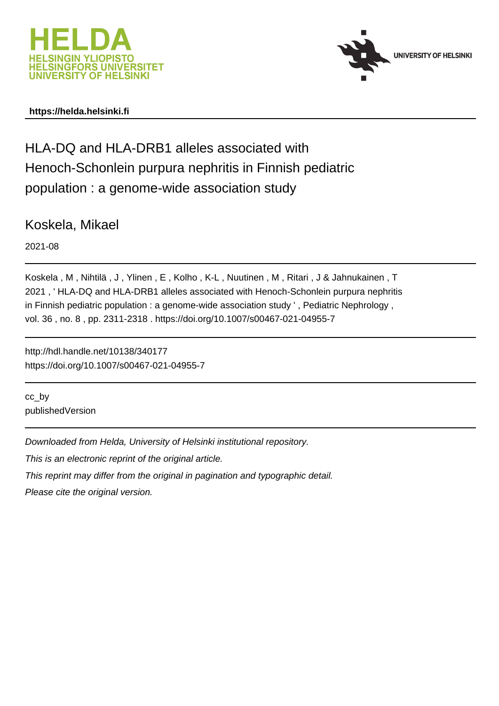



### **https://helda.helsinki.fi**

# HLA-DQ and HLA-DRB1 alleles associated with Henoch-Schonlein purpura nephritis in Finnish pediatric population : a genome-wide association study

Koskela, Mikael

2021-08

Koskela , M , Nihtilä , J , Ylinen , E , Kolho , K-L , Nuutinen , M , Ritari , J & Jahnukainen , T 2021 , ' HLA-DQ and HLA-DRB1 alleles associated with Henoch-Schonlein purpura nephritis in Finnish pediatric population : a genome-wide association study ', Pediatric Nephrology, vol. 36 , no. 8 , pp. 2311-2318 . https://doi.org/10.1007/s00467-021-04955-7

http://hdl.handle.net/10138/340177 https://doi.org/10.1007/s00467-021-04955-7

cc\_by publishedVersion

Downloaded from Helda, University of Helsinki institutional repository.

This is an electronic reprint of the original article.

This reprint may differ from the original in pagination and typographic detail.

Please cite the original version.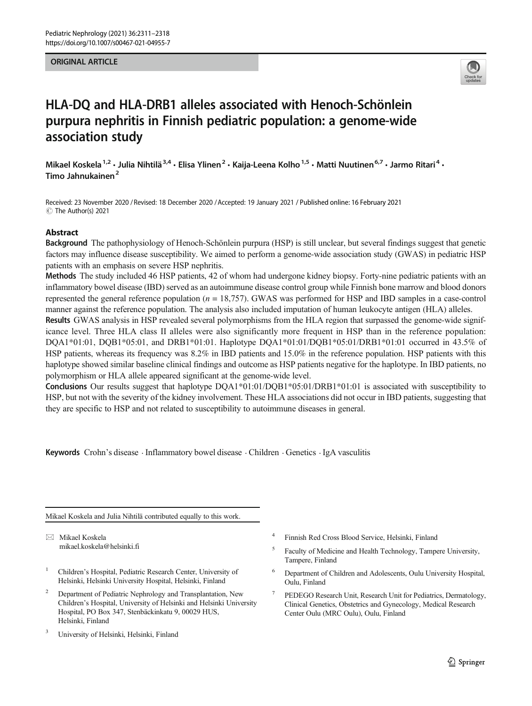#### ORIGINAL ARTICLE



## HLA-DQ and HLA-DRB1 alleles associated with Henoch-Schönlein purpura nephritis in Finnish pediatric population: a genome-wide association study

Mikael Koskela<sup>1,2</sup> • Julia Nihtilä<sup>3,4</sup> • Elisa Ylinen<sup>2</sup> • Kaija-Leena Kolho<sup>1,5</sup> • Matti Nuutinen<sup>6,7</sup> • Jarmo Ritari<sup>4</sup> • Timo Jahnukainen<sup>2</sup>

Received: 23 November 2020 / Revised: 18 December 2020 /Accepted: 19 January 2021 / Published online: 16 February 2021  $\circledcirc$  The Author(s) 2021

#### Abstract

Background The pathophysiology of Henoch-Schönlein purpura (HSP) is still unclear, but several findings suggest that genetic factors may influence disease susceptibility. We aimed to perform a genome-wide association study (GWAS) in pediatric HSP patients with an emphasis on severe HSP nephritis.

Methods The study included 46 HSP patients, 42 of whom had undergone kidney biopsy. Forty-nine pediatric patients with an inflammatory bowel disease (IBD) served as an autoimmune disease control group while Finnish bone marrow and blood donors represented the general reference population  $(n = 18,757)$ . GWAS was performed for HSP and IBD samples in a case-control manner against the reference population. The analysis also included imputation of human leukocyte antigen (HLA) alleles.

Results GWAS analysis in HSP revealed several polymorphisms from the HLA region that surpassed the genome-wide significance level. Three HLA class II alleles were also significantly more frequent in HSP than in the reference population: DQA1\*01:01, DQB1\*05:01, and DRB1\*01:01. Haplotype DQA1\*01:01/DQB1\*05:01/DRB1\*01:01 occurred in 43.5% of HSP patients, whereas its frequency was 8.2% in IBD patients and 15.0% in the reference population. HSP patients with this haplotype showed similar baseline clinical findings and outcome as HSP patients negative for the haplotype. In IBD patients, no polymorphism or HLA allele appeared significant at the genome-wide level.

Conclusions Our results suggest that haplotype DQA1\*01:01/DQB1\*05:01/DRB1\*01:01 is associated with susceptibility to HSP, but not with the severity of the kidney involvement. These HLA associations did not occur in IBD patients, suggesting that they are specific to HSP and not related to susceptibility to autoimmune diseases in general.

Keywords Crohn's disease . Inflammatory bowel disease . Children . Genetics . IgA vasculitis

Mikael Koskela and Julia Nihtilä contributed equally to this work.

 $\boxtimes$  Mikael Koskela [mikael.koskela@helsinki.fi](mailto:mikael.koskela@helsinki.fi)

- <sup>1</sup> Children's Hospital, Pediatric Research Center, University of Helsinki, Helsinki University Hospital, Helsinki, Finland
- <sup>2</sup> Department of Pediatric Nephrology and Transplantation, New Children's Hospital, University of Helsinki and Helsinki University Hospital, PO Box 347, Stenbäckinkatu 9, 00029 HUS, Helsinki, Finland
- <sup>3</sup> University of Helsinki, Helsinki, Finland
- <sup>4</sup> Finnish Red Cross Blood Service, Helsinki, Finland
- <sup>5</sup> Faculty of Medicine and Health Technology, Tampere University, Tampere, Finland
- <sup>6</sup> Department of Children and Adolescents, Oulu University Hospital, Oulu, Finland
- <sup>7</sup> PEDEGO Research Unit, Research Unit for Pediatrics, Dermatology, Clinical Genetics, Obstetrics and Gynecology, Medical Research Center Oulu (MRC Oulu), Oulu, Finland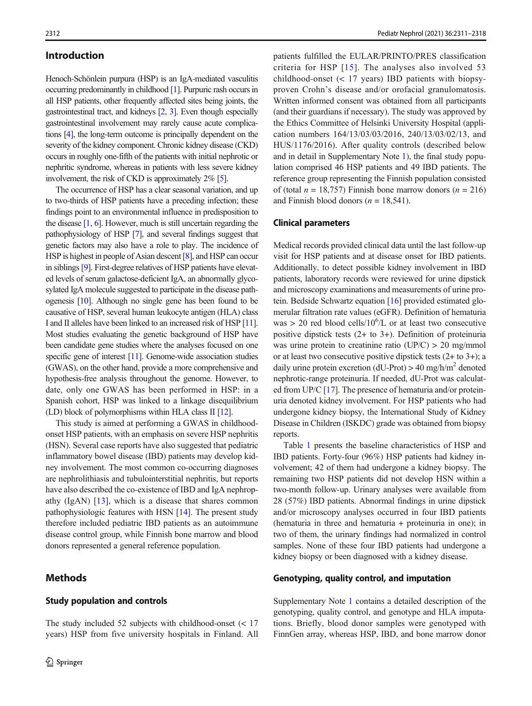#### Introduction

Henoch-Schönlein purpura (HSP) is an IgA-mediated vasculitis occurring predominantly in childhood [1]. Purpuric rash occurs in all HSP patients, other frequently affected sites being joints, the gastrointestinal tract, and kidneys [2, 3]. Even though especially gastrointestinal involvement may rarely cause acute complications [4], the long-term outcome is principally dependent on the severity of the kidney component. Chronic kidney disease (CKD) occurs in roughly one-fifth of the patients with initial nephrotic or nephritic syndrome, whereas in patients with less severe kidney involvement, the risk of CKD is approximately 2% [5].

The occurrence of HSP has a clear seasonal variation, and up to two-thirds of HSP patients have a preceding infection; these findings point to an environmental influence in predisposition to the disease [1, 6]. However, much is still uncertain regarding the pathophysiology of HSP [7], and several findings suggest that genetic factors may also have a role to play. The incidence of HSP is highest in people of Asian descent [8], and HSP can occur in siblings [9]. First-degree relatives of HSP patients have elevated levels of serum galactose-deficient IgA, an abnormally glycosylated IgA molecule suggested to participate in the disease pathogenesis [10]. Although no single gene has been found to be causative of HSP, several human leukocyte antigen (HLA) class I and II alleles have been linked to an increased risk of HSP [11]. Most studies evaluating the genetic background of HSP have been candidate gene studies where the analyses focused on one specific gene of interest [11]. Genome-wide association studies (GWAS), on the other hand, provide a more comprehensive and hypothesis-free analysis throughout the genome. However, to date, only one GWAS has been performed in HSP: in a Spanish cohort, HSP was linked to a linkage disequilibrium (LD) block of polymorphisms within HLA class II [12].

This study is aimed at performing a GWAS in childhoodonset HSP patients, with an emphasis on severe HSP nephritis (HSN). Several case reports have also suggested that pediatric inflammatory bowel disease (IBD) patients may develop kidney involvement. The most common co-occurring diagnoses are nephrolithiasis and tubulointerstitial nephritis, but reports have also described the co-existence of IBD and IgA nephropathy  $(IgAN)$   $[13]$ , which is a disease that shares common pathophysiologic features with HSN [14]. The present study therefore included pediatric IBD patients as an autoimmune disease control group, while Finnish bone marrow and blood donors represented a general reference population.

#### **Methods**

#### Study population and controls

The study included 52 subjects with childhood-onset (< 17 years) HSP from five university hospitals in Finland. All patients fulfilled the EULAR/PRINTO/PRES classification criteria for HSP [15]. The analyses also involved 53 childhood-onset (< 17 years) IBD patients with biopsyproven Crohn's disease and/or orofacial granulomatosis. Written informed consent was obtained from all participants (and their guardians if necessary). The study was approved by the Ethics Committee of Helsinki University Hospital (application numbers 164/13/03/03/2016, 240/13/03/02/13, and HUS/1176/2016). After quality controls (described below and in detail in Supplementary Note 1), the final study population comprised 46 HSP patients and 49 IBD patients. The reference group representing the Finnish population consisted of (total  $n = 18,757$ ) Finnish bone marrow donors ( $n = 216$ ) and Finnish blood donors ( $n = 18,541$ ).

#### Clinical parameters

Medical records provided clinical data until the last follow-up visit for HSP patients and at disease onset for IBD patients. Additionally, to detect possible kidney involvement in IBD patients, laboratory records were reviewed for urine dipstick and microscopy examinations and measurements of urine protein. Bedside Schwartz equation [16] provided estimated glomerular filtration rate values (eGFR). Definition of hematuria was  $> 20$  red blood cells/10<sup>6</sup>/L or at least two consecutive positive dipstick tests (2+ to 3+). Definition of proteinuria was urine protein to creatinine ratio  $(\text{UP}/\text{C}) > 20 \text{ mg}/\text{mmol}$ or at least two consecutive positive dipstick tests (2+ to 3+); a daily urine protein excretion (dU-Prot)  $> 40$  mg/h/m<sup>2</sup> denoted nephrotic-range proteinuria. If needed, dU-Prot was calculated from UP/C [17]. The presence of hematuria and/or proteinuria denoted kidney involvement. For HSP patients who had undergone kidney biopsy, the International Study of Kidney Disease in Children (ISKDC) grade was obtained from biopsy reports.

Table 1 presents the baseline characteristics of HSP and IBD patients. Forty-four (96%) HSP patients had kidney involvement; 42 of them had undergone a kidney biopsy. The remaining two HSP patients did not develop HSN within a two-month follow-up. Urinary analyses were available from 28 (57%) IBD patients. Abnormal findings in urine dipstick and/or microscopy analyses occurred in four IBD patients (hematuria in three and hematuria + proteinuria in one); in two of them, the urinary findings had normalized in control samples. None of these four IBD patients had undergone a kidney biopsy or been diagnosed with a kidney disease.

#### Genotyping, quality control, and imputation

Supplementary Note 1 contains a detailed description of the genotyping, quality control, and genotype and HLA imputations. Briefly, blood donor samples were genotyped with FinnGen array, whereas HSP, IBD, and bone marrow donor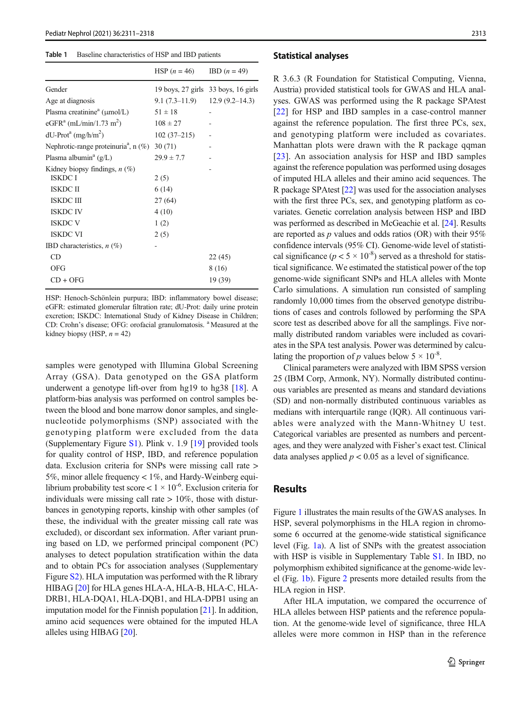#### Table 1 Baseline characteristics of HSP and IBD patients

|                                                     | HSP $(n = 46)$ | $IBD (n = 49)$                      |
|-----------------------------------------------------|----------------|-------------------------------------|
| Gender                                              |                | 19 boys, 27 girls 33 boys, 16 girls |
| Age at diagnosis                                    | 9.1 (7.3–11.9) | $12.9(9.2 - 14.3)$                  |
| Plasma creatinine <sup>a</sup> ( $\mu$ mol/L)       | $51 \pm 18$    |                                     |
| eGFR <sup>a</sup> (mL/min/1.73 m <sup>2</sup> )     | $108 \pm 27$   |                                     |
| $dU-Prota (mg/h/m2)$                                | $102(37-215)$  |                                     |
| Nephrotic-range proteinuria <sup>a</sup> , n $(\%)$ | 30(71)         |                                     |
| Plasma albumin <sup>a</sup> $(g/L)$                 | $29.9 \pm 7.7$ |                                     |
| Kidney biopsy findings, $n$ (%)                     |                |                                     |
| <b>ISKDC I</b>                                      | 2(5)           |                                     |
| <b>ISKDC II</b>                                     | 6(14)          |                                     |
| ISKDC III                                           | 27(64)         |                                     |
| <b>ISKDC IV</b>                                     | 4(10)          |                                     |
| <b>ISKDC V</b>                                      | 1(2)           |                                     |
| <b>ISKDC VI</b>                                     | 2(5)           |                                     |
| IBD characteristics, $n$ (%)                        |                |                                     |
| CD                                                  |                | 22 (45)                             |
| OFG                                                 |                | 8 (16)                              |
| $CD + OFG$                                          |                | 19 (39)                             |
|                                                     |                |                                     |

HSP: Henoch-Schönlein purpura; IBD: inflammatory bowel disease; eGFR: estimated glomerular filtration rate; dU-Prot: daily urine protein excretion; ISKDC: International Study of Kidney Disease in Children; CD: Crohn's disease; OFG: orofacial granulomatosis. <sup>a</sup> Measured at the kidney biopsy (HSP,  $n = 42$ )

samples were genotyped with Illumina Global Screening Array (GSA). Data genotyped on the GSA platform underwent a genotype lift-over from hg19 to hg38 [18]. A platform-bias analysis was performed on control samples between the blood and bone marrow donor samples, and singlenucleotide polymorphisms (SNP) associated with the genotyping platform were excluded from the data (Supplementary Figure S1). Plink v. 1.9 [19] provided tools for quality control of HSP, IBD, and reference population data. Exclusion criteria for SNPs were missing call rate > 5%, minor allele frequency < 1%, and Hardy-Weinberg equilibrium probability test score <  $1 \times 10^{-6}$ . Exclusion criteria for individuals were missing call rate  $> 10\%$ , those with disturbances in genotyping reports, kinship with other samples (of these, the individual with the greater missing call rate was excluded), or discordant sex information. After variant pruning based on LD, we performed principal component (PC) analyses to detect population stratification within the data and to obtain PCs for association analyses (Supplementary Figure S2). HLA imputation was performed with the R library HIBAG [20] for HLA genes HLA-A, HLA-B, HLA-C, HLA-DRB1, HLA-DQA1, HLA-DQB1, and HLA-DPB1 using an imputation model for the Finnish population  $[21]$ . In addition, amino acid sequences were obtained for the imputed HLA alleles using HIBAG [20].

#### Statistical analyses

R 3.6.3 (R Foundation for Statistical Computing, Vienna, Austria) provided statistical tools for GWAS and HLA analyses. GWAS was performed using the R package SPAtest [22] for HSP and IBD samples in a case-control manner against the reference population. The first three PCs, sex, and genotyping platform were included as covariates. Manhattan plots were drawn with the R package qqman [23]. An association analysis for HSP and IBD samples against the reference population was performed using dosages of imputed HLA alleles and their amino acid sequences. The R package SPAtest [22] was used for the association analyses with the first three PCs, sex, and genotyping platform as covariates. Genetic correlation analysis between HSP and IBD was performed as described in McGeachie et al. [24]. Results are reported as  $p$  values and odds ratios (OR) with their 95% confidence intervals (95% CI). Genome-wide level of statistical significance ( $p < 5 \times 10^{-8}$ ) served as a threshold for statistical significance. We estimated the statistical power of the top genome-wide significant SNPs and HLA alleles with Monte Carlo simulations. A simulation run consisted of sampling randomly 10,000 times from the observed genotype distributions of cases and controls followed by performing the SPA score test as described above for all the samplings. Five normally distributed random variables were included as covariates in the SPA test analysis. Power was determined by calculating the proportion of p values below  $5 \times 10^{-8}$ .

Clinical parameters were analyzed with IBM SPSS version 25 (IBM Corp, Armonk, NY). Normally distributed continuous variables are presented as means and standard deviations (SD) and non-normally distributed continuous variables as medians with interquartile range (IQR). All continuous variables were analyzed with the Mann-Whitney U test. Categorical variables are presented as numbers and percentages, and they were analyzed with Fisher's exact test. Clinical data analyses applied  $p < 0.05$  as a level of significance.

#### Results

Figure 1 illustrates the main results of the GWAS analyses. In HSP, several polymorphisms in the HLA region in chromosome 6 occurred at the genome-wide statistical significance level (Fig. 1a). A list of SNPs with the greatest association with HSP is visible in Supplementary Table S1. In IBD, no polymorphism exhibited significance at the genome-wide level (Fig. 1b). Figure 2 presents more detailed results from the HLA region in HSP.

After HLA imputation, we compared the occurrence of HLA alleles between HSP patients and the reference population. At the genome-wide level of significance, three HLA alleles were more common in HSP than in the reference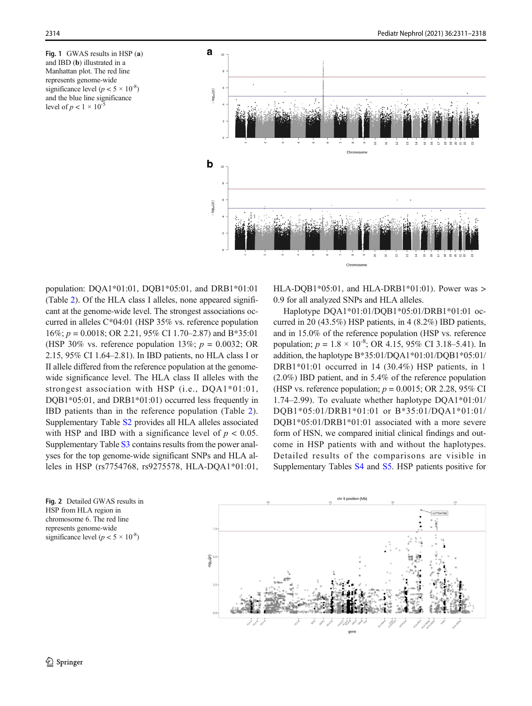Fig. 1 GWAS results in HSP (a) and IBD (b) illustrated in a Manhattan plot. The red line represents genome-wide significance level ( $p < 5 \times 10^{-8}$ ) and the blue line significance level of  $p < 1 \times 10^{-5}$ 



population: DQA1\*01:01, DQB1\*05:01, and DRB1\*01:01 (Table 2). Of the HLA class I alleles, none appeared significant at the genome-wide level. The strongest associations occurred in alleles C\*04:01 (HSP 35% vs. reference population  $16\%; p = 0.0018; \text{ OR } 2.21, 95\% \text{ CI } 1.70-2.87) \text{ and } B*35:01$ (HSP 30% vs. reference population 13%;  $p = 0.0032$ ; OR 2.15, 95% CI 1.64–2.81). In IBD patients, no HLA class I or II allele differed from the reference population at the genomewide significance level. The HLA class II alleles with the strongest association with HSP (i.e., DQA1\*01:01, DQB1\*05:01, and DRB1\*01:01) occurred less frequently in IBD patients than in the reference population (Table 2). Supplementary Table S2 provides all HLA alleles associated with HSP and IBD with a significance level of  $p < 0.05$ . Supplementary Table S3 contains results from the power analyses for the top genome-wide significant SNPs and HLA alleles in HSP (rs7754768, rs9275578, HLA-DQA1\*01:01, HLA-DOB1\*05:01, and HLA-DRB1\*01:01). Power was  $>$ 0.9 for all analyzed SNPs and HLA alleles.

Haplotype DQA1\*01:01/DQB1\*05:01/DRB1\*01:01 occurred in 20 (43.5%) HSP patients, in 4 (8.2%) IBD patients, and in 15.0% of the reference population (HSP vs. reference population;  $p = 1.8 \times 10^{-8}$ ; OR 4.15, 95% CI 3.18–5.41). In addition, the haplotype B\*35:01/DQA1\*01:01/DQB1\*05:01/ DRB1\*01:01 occurred in 14 (30.4%) HSP patients, in 1 (2.0%) IBD patient, and in 5.4% of the reference population (HSP vs. reference population;  $p = 0.0015$ ; OR 2.28, 95% CI 1.74–2.99). To evaluate whether haplotype DQA1\*01:01/ DQB1\*05:01/DRB1\*01:01 or B\*35:01/DQA1\*01:01/ DQB1\*05:01/DRB1\*01:01 associated with a more severe form of HSN, we compared initial clinical findings and outcome in HSP patients with and without the haplotypes. Detailed results of the comparisons are visible in Supplementary Tables S4 and S5. HSP patients positive for

Fig. 2 Detailed GWAS results in HSP from HLA region in chromosome 6. The red line represents genome-wide significance level ( $p < 5 \times 10^{-8}$ )

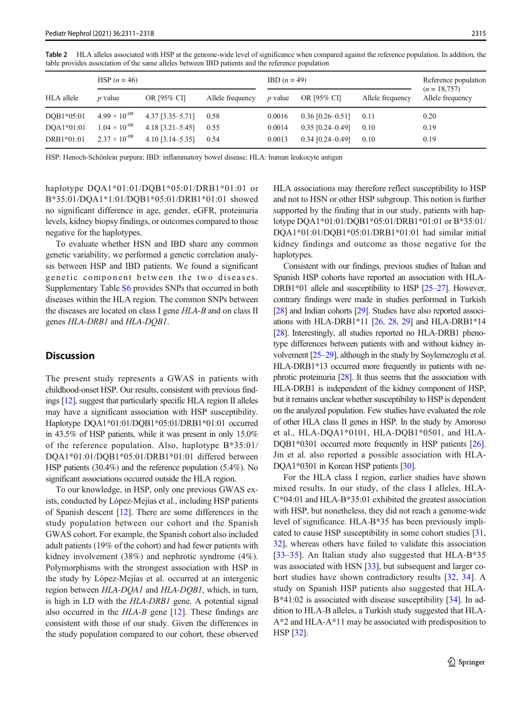|                          | HSP $(n = 46)$                                   |                                          | $IBD (n = 49)$   |                  |                                          | Reference population |                                    |
|--------------------------|--------------------------------------------------|------------------------------------------|------------------|------------------|------------------------------------------|----------------------|------------------------------------|
| HLA allele               | $\n  p \n  value\n$                              | OR [95% CI]                              | Allele frequency | <i>p</i> value   | OR [95% CI]                              | Allele frequency     | $(n = 18,757)$<br>Allele frequency |
| DOB1*05:01<br>DOA1*01:01 | $4.99 \times 10^{-09}$<br>$1.04 \times 10^{-08}$ | $4.37$ [3.35-5.71]<br>$4.18$ [3.21-5.45] | 0.58<br>0.55     | 0.0016<br>0.0014 | $0.36$ [0.26-0.51]<br>$0.35$ [0.24-0.49] | 0.11<br>0.10         | 0.20<br>0.19                       |
| DRB1*01:01               | $2.37 \times 10^{-08}$                           | $4.10$ [3.14-5.35]                       | 0.54             | 0.0013           | $0.34$ [0.24-0.49]                       | 0.10                 | 0.19                               |

Table 2 HLA alleles associated with HSP at the genome-wide level of significance when compared against the reference population. In addition, the table provides association of the same alleles between IBD patients and the reference population

HSP: Henoch-Schönlein purpura; IBD: inflammatory bowel disease; HLA: human leukocyte antigen

haplotype DQA1\*01:01/DQB1\*05:01/DRB1\*01:01 or B\*35:01/DQA1\*1:01/DQB1\*05:01/DRB1\*01:01 showed no significant difference in age, gender, eGFR, proteinuria levels, kidney biopsy findings, or outcomes compared to those negative for the haplotypes.

To evaluate whether HSN and IBD share any common genetic variability, we performed a genetic correlation analysis between HSP and IBD patients. We found a significant genetic component between the two diseases. Supplementary Table S6 provides SNPs that occurred in both diseases within the HLA region. The common SNPs between the diseases are located on class I gene HLA-B and on class II genes HLA-DRB1 and HLA-DQB1.

#### **Discussion**

The present study represents a GWAS in patients with childhood-onset HSP. Our results, consistent with previous findings [12], suggest that particularly specific HLA region II alleles may have a significant association with HSP susceptibility. Haplotype DQA1\*01:01/DQB1\*05:01/DRB1\*01:01 occurred in 43.5% of HSP patients, while it was present in only 15.0% of the reference population. Also, haplotype B\*35:01/ DQA1\*01:01/DQB1\*05:01/DRB1\*01:01 differed between HSP patients (30.4%) and the reference population (5.4%). No significant associations occurred outside the HLA region.

To our knowledge, in HSP, only one previous GWAS exists, conducted by López-Mejías et al., including HSP patients of Spanish descent [12]. There are some differences in the study population between our cohort and the Spanish GWAS cohort. For example, the Spanish cohort also included adult patients (19% of the cohort) and had fewer patients with kidney involvement (38%) and nephrotic syndrome (4%). Polymorphisms with the strongest association with HSP in the study by López-Mejías et al. occurred at an intergenic region between *HLA-DQA1* and *HLA-DQB1*, which, in turn, is high in LD with the HLA-DRB1 gene. A potential signal also occurred in the HLA-B gene [12]. These findings are consistent with those of our study. Given the differences in the study population compared to our cohort, these observed HLA associations may therefore reflect susceptibility to HSP and not to HSN or other HSP subgroup. This notion is further supported by the finding that in our study, patients with haplotype DQA1\*01:01/DQB1\*05:01/DRB1\*01:01 or B\*35:01/ DQA1\*01:01/DQB1\*05:01/DRB1\*01:01 had similar initial kidney findings and outcome as those negative for the haplotypes.

Consistent with our findings, previous studies of Italian and Spanish HSP cohorts have reported an association with HLA-DRB1\*01 allele and susceptibility to HSP [25–27]. However, contrary findings were made in studies performed in Turkish [28] and Indian cohorts [29]. Studies have also reported associ-ations with HLA-DRB1\*11 [26, 28, 29] and HLA-DRB1\*14 [28]. Interestingly, all studies reported no HLA-DRB1 phenotype differences between patients with and without kidney involvement [25–29], although in the study by Soylemezoglu et al. HLA-DRB1\*13 occurred more frequently in patients with nephrotic proteinuria [28]. It thus seems that the association with HLA-DRB1 is independent of the kidney component of HSP, but it remains unclear whether susceptibility to HSP is dependent on the analyzed population. Few studies have evaluated the role of other HLA class II genes in HSP. In the study by Amoroso et al., HLA-DQA1\*0101, HLA-DQB1\*0501, and HLA-DQB1\*0301 occurred more frequently in HSP patients [26]. Jin et al. also reported a possible association with HLA-DQA1\*0301 in Korean HSP patients [30].

For the HLA class I region, earlier studies have shown mixed results. In our study, of the class I alleles, HLA-C\*04:01 and HLA-B\*35:01 exhibited the greatest association with HSP, but nonetheless, they did not reach a genome-wide level of significance. HLA-B\*35 has been previously implicated to cause HSP susceptibility in some cohort studies [31, 32], whereas others have failed to validate this association [33–35]. An Italian study also suggested that HLA-B\*35 was associated with HSN [33], but subsequent and larger cohort studies have shown contradictory results [32, 34]. A study on Spanish HSP patients also suggested that HLA-B\*41:02 is associated with disease susceptibility [34]. In addition to HLA-B alleles, a Turkish study suggested that HLA-A\*2 and HLA-A\*11 may be associated with predisposition to HSP [32].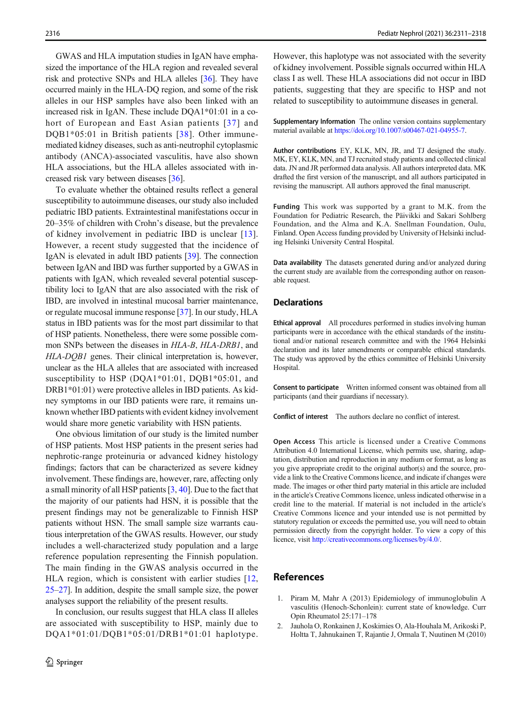GWAS and HLA imputation studies in IgAN have emphasized the importance of the HLA region and revealed several risk and protective SNPs and HLA alleles [36]. They have occurred mainly in the HLA-DQ region, and some of the risk alleles in our HSP samples have also been linked with an increased risk in IgAN. These include DQA1\*01:01 in a cohort of European and East Asian patients [37] and DQB1\*05:01 in British patients [38]. Other immunemediated kidney diseases, such as anti-neutrophil cytoplasmic antibody (ANCA)-associated vasculitis, have also shown HLA associations, but the HLA alleles associated with increased risk vary between diseases [36].

To evaluate whether the obtained results reflect a general susceptibility to autoimmune diseases, our study also included pediatric IBD patients. Extraintestinal manifestations occur in 20–35% of children with Crohn's disease, but the prevalence of kidney involvement in pediatric IBD is unclear [13]. However, a recent study suggested that the incidence of IgAN is elevated in adult IBD patients [39]. The connection between IgAN and IBD was further supported by a GWAS in patients with IgAN, which revealed several potential susceptibility loci to IgAN that are also associated with the risk of IBD, are involved in intestinal mucosal barrier maintenance, or regulate mucosal immune response [37]. In our study, HLA status in IBD patients was for the most part dissimilar to that of HSP patients. Nonetheless, there were some possible common SNPs between the diseases in HLA-B, HLA-DRB1, and HLA-DQB1 genes. Their clinical interpretation is, however, unclear as the HLA alleles that are associated with increased susceptibility to HSP (DQA1\*01:01, DQB1\*05:01, and DRB1\*01:01) were protective alleles in IBD patients. As kidney symptoms in our IBD patients were rare, it remains unknown whether IBD patients with evident kidney involvement would share more genetic variability with HSN patients.

One obvious limitation of our study is the limited number of HSP patients. Most HSP patients in the present series had nephrotic-range proteinuria or advanced kidney histology findings; factors that can be characterized as severe kidney involvement. These findings are, however, rare, affecting only a small minority of all HSP patients [3, 40]. Due to the fact that the majority of our patients had HSN, it is possible that the present findings may not be generalizable to Finnish HSP patients without HSN. The small sample size warrants cautious interpretation of the GWAS results. However, our study includes a well-characterized study population and a large reference population representing the Finnish population. The main finding in the GWAS analysis occurred in the HLA region, which is consistent with earlier studies [12, 25–27]. In addition, despite the small sample size, the power analyses support the reliability of the present results.

In conclusion, our results suggest that HLA class II alleles are associated with susceptibility to HSP, mainly due to DQA1\*01:01/DQB1\*05:01/DRB1\*01:01 haplotype. However, this haplotype was not associated with the severity of kidney involvement. Possible signals occurred within HLA class I as well. These HLA associations did not occur in IBD patients, suggesting that they are specific to HSP and not related to susceptibility to autoimmune diseases in general.

Supplementary Information The online version contains supplementary material available at [https://doi.org/10.1007/s00467-021-04955-7.](https://doi.org/10.1007/s00467-021-04955-7)

Author contributions EY, KLK, MN, JR, and TJ designed the study. MK, EY, KLK, MN, and TJ recruited study patients and collected clinical data. JN and JR performed data analysis. All authors interpreted data. MK drafted the first version of the manuscript, and all authors participated in revising the manuscript. All authors approved the final manuscript.

Funding This work was supported by a grant to M.K. from the Foundation for Pediatric Research, the Päivikki and Sakari Sohlberg Foundation, and the Alma and K.A. Snellman Foundation, Oulu, Finland. Open Access funding provided by University of Helsinki including Helsinki University Central Hospital.

Data availability The datasets generated during and/or analyzed during the current study are available from the corresponding author on reasonable request.

#### **Declarations**

Ethical approval All procedures performed in studies involving human participants were in accordance with the ethical standards of the institutional and/or national research committee and with the 1964 Helsinki declaration and its later amendments or comparable ethical standards. The study was approved by the ethics committee of Helsinki University Hospital.

Consent to participate Written informed consent was obtained from all participants (and their guardians if necessary).

Conflict of interest The authors declare no conflict of interest.

Open Access This article is licensed under a Creative Commons Attribution 4.0 International License, which permits use, sharing, adaptation, distribution and reproduction in any medium or format, as long as you give appropriate credit to the original author(s) and the source, provide a link to the Creative Commons licence, and indicate if changes were made. The images or other third party material in this article are included in the article's Creative Commons licence, unless indicated otherwise in a credit line to the material. If material is not included in the article's Creative Commons licence and your intended use is not permitted by statutory regulation or exceeds the permitted use, you will need to obtain permission directly from the copyright holder. To view a copy of this licence, visit [http://creativecommons.org/licenses/by/4.0/](https://www.protocols.io/view/genotyping-chip-data-lift-over-to-reference-genome-xbhfij6?step=6).

#### References

- 1. Piram M, Mahr A (2013) Epidemiology of immunoglobulin A vasculitis (Henoch-Schonlein): current state of knowledge. Curr Opin Rheumatol 25:171–178
- 2. Jauhola O, Ronkainen J, Koskimies O, Ala-Houhala M, Arikoski P, Holtta T, Jahnukainen T, Rajantie J, Ormala T, Nuutinen M (2010)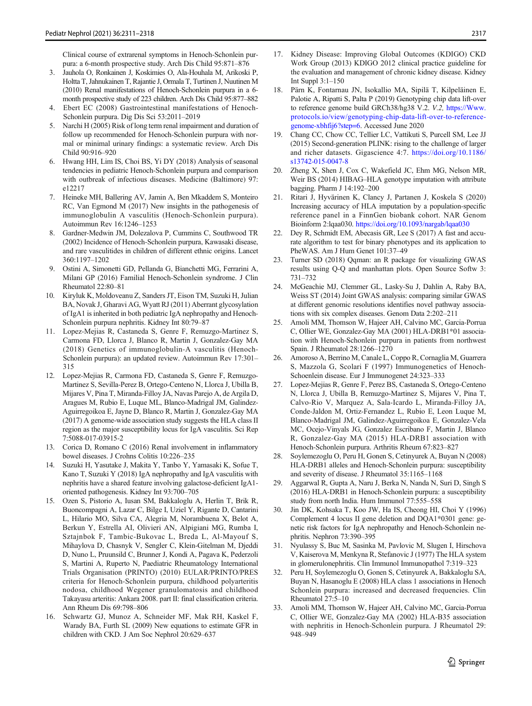Clinical course of extrarenal symptoms in Henoch-Schonlein purpura: a 6-month prospective study. Arch Dis Child 95:871–876

- 3. Jauhola O, Ronkainen J, Koskimies O, Ala-Houhala M, Arikoski P, Holtta T, Jahnukainen T, Rajantie J, Ormala T, Turtinen J, Nuutinen M (2010) Renal manifestations of Henoch-Schonlein purpura in a 6 month prospective study of 223 children. Arch Dis Child 95:877–882
- Ebert EC (2008) Gastrointestinal manifestations of Henoch-Schonlein purpura. Dig Dis Sci 53:2011–2019
- Narchi H (2005) Risk of long term renal impairment and duration of follow up recommended for Henoch-Schonlein purpura with normal or minimal urinary findings: a systematic review. Arch Dis Child 90:916–920
- 6. Hwang HH, Lim IS, Choi BS, Yi DY (2018) Analysis of seasonal tendencies in pediatric Henoch-Schonlein purpura and comparison with outbreak of infectious diseases. Medicine (Baltimore) 97: e12217
- 7. Heineke MH, Ballering AV, Jamin A, Ben Mkaddem S, Monteiro RC, Van Egmond M (2017) New insights in the pathogenesis of immunoglobulin A vasculitis (Henoch-Schonlein purpura). Autoimmun Rev 16:1246–1253
- 8. Gardner-Medwin JM, Dolezalova P, Cummins C, Southwood TR (2002) Incidence of Henoch-Schonlein purpura, Kawasaki disease, and rare vasculitides in children of different ethnic origins. Lancet 360:1197–1202
- 9. Ostini A, Simonetti GD, Pellanda G, Bianchetti MG, Ferrarini A, Milani GP (2016) Familial Henoch-Schonlein syndrome. J Clin Rheumatol 22:80–81
- 10. Kiryluk K, Moldoveanu Z, Sanders JT, Eison TM, Suzuki H, Julian BA, Novak J, Gharavi AG, Wyatt RJ (2011) Aberrant glycosylation of IgA1 is inherited in both pediatric IgA nephropathy and Henoch-Schonlein purpura nephritis. Kidney Int 80:79–87
- 11. Lopez-Mejias R, Castaneda S, Genre F, Remuzgo-Martinez S, Carmona FD, Llorca J, Blanco R, Martin J, Gonzalez-Gay MA (2018) Genetics of immunoglobulin-A vasculitis (Henoch-Schonlein purpura): an updated review. Autoimmun Rev 17:301– 315
- 12. Lopez-Mejias R, Carmona FD, Castaneda S, Genre F, Remuzgo-Martinez S, Sevilla-Perez B, Ortego-Centeno N, Llorca J, Ubilla B, Mijares V, Pina T, Miranda-Filloy JA, Navas Parejo A, de Argila D, Aragues M, Rubio E, Luque ML, Blanco-Madrigal JM, Galindez-Aguirregoikoa E, Jayne D, Blanco R, Martin J, Gonzalez-Gay MA (2017) A genome-wide association study suggests the HLA class II region as the major susceptibility locus for IgA vasculitis. Sci Rep 7:5088-017-03915-2
- 13. Corica D, Romano C (2016) Renal involvement in inflammatory bowel diseases. J Crohns Colitis 10:226–235
- 14. Suzuki H, Yasutake J, Makita Y, Tanbo Y, Yamasaki K, Sofue T, Kano T, Suzuki Y (2018) IgA nephropathy and IgA vasculitis with nephritis have a shared feature involving galactose-deficient IgA1 oriented pathogenesis. Kidney Int 93:700–705
- 15. Ozen S, Pistorio A, Iusan SM, Bakkaloglu A, Herlin T, Brik R, Buoncompagni A, Lazar C, Bilge I, Uziel Y, Rigante D, Cantarini L, Hilario MO, Silva CA, Alegria M, Norambuena X, Belot A, Berkun Y, Estrella AI, Olivieri AN, Alpigiani MG, Rumba I, Sztajnbok F, Tambic-Bukovac L, Breda L, Al-Mayouf S, Mihaylova D, Chasnyk V, Sengler C, Klein-Gitelman M, Djeddi D, Nuno L, Pruunsild C, Brunner J, Kondi A, Pagava K, Pederzoli S, Martini A, Ruperto N, Paediatric Rheumatology International Trials Organisation (PRINTO) (2010) EULAR/PRINTO/PRES criteria for Henoch-Schonlein purpura, childhood polyarteritis nodosa, childhood Wegener granulomatosis and childhood Takayasu arteritis: Ankara 2008. part II: final classification criteria. Ann Rheum Dis 69:798–806
- 16. Schwartz GJ, Munoz A, Schneider MF, Mak RH, Kaskel F, Warady BA, Furth SL (2009) New equations to estimate GFR in children with CKD. J Am Soc Nephrol 20:629–637
- 17. Kidney Disease: Improving Global Outcomes (KDIGO) CKD Work Group (2013) KDIGO 2012 clinical practice guideline for the evaluation and management of chronic kidney disease. Kidney Int Suppl 3:1–150
- 18. Pärn K, Fontarnau JN, Isokallio MA, Sipilä T, Kilpeläinen E, Palotie A, Ripatti S, Palta P (2019) Genotyping chip data lift-over to reference genome build GRCh38/hg38 V.2. V.2, [https://Www.](https://www.protocols.io/view/genotyping-chip-data-lift-over-to-reference-genome-xbhfij6?step=6) [protocols.io/view/genotyping-chip-data-lift-over-to-reference](https://www.protocols.io/view/genotyping-chip-data-lift-over-to-reference-genome-xbhfij6?step=6)[genome-xbhfij6?step=6](https://www.protocols.io/view/genotyping-chip-data-lift-over-to-reference-genome-xbhfij6?step=6). Accessed June 2020
- 19. Chang CC, Chow CC, Tellier LC, Vattikuti S, Purcell SM, Lee JJ (2015) Second-generation PLINK: rising to the challenge of larger and richer datasets. Gigascience 4:7. [https://doi.org/10.1186/](https://doi.org/10.1186/s13742-015-0047-8) [s13742-015-0047-8](https://doi.org/10.1186/s13742-015-0047-8)
- 20. Zheng X, Shen J, Cox C, Wakefield JC, Ehm MG, Nelson MR, Weir BS (2014) HIBAG–HLA genotype imputation with attribute bagging. Pharm J 14:192–200
- 21. Ritari J, Hyvärinen K, Clancy J, Partanen J, Koskela S (2020) Increasing accuracy of HLA imputation by a population-specific reference panel in a FinnGen biobank cohort. NAR Genom Bioinform 2:lqaa030. <https://doi.org/10.1093/nargab/lqaa030>
- Dey R, Schmidt EM, Abecasis GR, Lee S (2017) A fast and accurate algorithm to test for binary phenotypes and its application to PheWAS. Am J Hum Genet 101:37–49
- 23. Turner SD (2018) Qqman: an R package for visualizing GWAS results using Q-Q and manhattan plots. Open Source Softw 3: 731–732
- 24. McGeachie MJ, Clemmer GL, Lasky-Su J, Dahlin A, Raby BA, Weiss ST (2014) Joint GWAS analysis: comparing similar GWAS at different genomic resolutions identifies novel pathway associations with six complex diseases. Genom Data 2:202–211
- 25. Amoli MM, Thomson W, Hajeer AH, Calvino MC, Garcia-Porrua C, Ollier WE, Gonzalez-Gay MA (2001) HLA-DRB1\*01 association with Henoch-Schonlein purpura in patients from northwest Spain. J Rheumatol 28:1266–1270
- 26. Amoroso A, Berrino M, Canale L, Coppo R, Cornaglia M, Guarrera S, Mazzola G, Scolari F (1997) Immunogenetics of Henoch-Schoenlein disease. Eur J Immunogenet 24:323–333
- 27. Lopez-Mejias R, Genre F, Perez BS, Castaneda S, Ortego-Centeno N, Llorca J, Ubilla B, Remuzgo-Martinez S, Mijares V, Pina T, Calvo-Rio V, Marquez A, Sala-Icardo L, Miranda-Filloy JA, Conde-Jaldon M, Ortiz-Fernandez L, Rubio E, Leon Luque M, Blanco-Madrigal JM, Galindez-Aguirregoikoa E, Gonzalez-Vela MC, Ocejo-Vinyals JG, Gonzalez Escribano F, Martin J, Blanco R, Gonzalez-Gay MA (2015) HLA-DRB1 association with Henoch-Schonlein purpura. Arthritis Rheum 67:823–827
- 28. Soylemezoglu O, Peru H, Gonen S, Cetinyurek A, Buyan N (2008) HLA-DRB1 alleles and Henoch-Schonlein purpura: susceptibility and severity of disease. J Rheumatol 35:1165–1168
- 29. Aggarwal R, Gupta A, Naru J, Berka N, Nanda N, Suri D, Singh S (2016) HLA-DRB1 in Henoch-Schonlein purpura: a susceptibility study from north India. Hum Immunol 77:555–558
- Jin DK, Kohsaka T, Koo JW, Ha IS, Cheong HI, Choi Y (1996) Complement 4 locus II gene deletion and DQA1\*0301 gene: genetic risk factors for IgA nephropathy and Henoch-Schonlein nephritis. Nephron 73:390–395
- 31. Nyulassy S, Buc M, Sasinka M, Pavlovic M, Slugen I, Hirschova V, Kaiserova M, Menkyna R, Stefanovic J (1977) The HLA system in glomerulonephritis. Clin Immunol Immunopathol 7:319–323
- 32. Peru H, Soylemezoglu O, Gonen S, Cetinyurek A, Bakkaloglu SA, Buyan N, Hasanoglu E (2008) HLA class 1 associations in Henoch Schonlein purpura: increased and decreased frequencies. Clin Rheumatol 27:5–10
- 33. Amoli MM, Thomson W, Hajeer AH, Calvino MC, Garcia-Porrua C, Ollier WE, Gonzalez-Gay MA (2002) HLA-B35 association with nephritis in Henoch-Schonlein purpura. J Rheumatol 29: 948–949